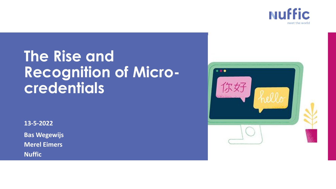

# **The Rise and Recognition of Microcredentials**

**13-5-2022**

**Bas Wegewijs Merel Eimers**

**Nuffic**

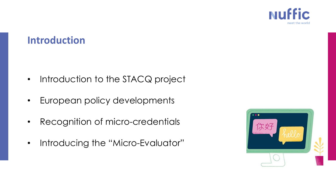

#### **Introduction**

- Introduction to the STACQ project
- European policy developments
- Recognition of micro-credentials
- Introducing the "Micro-Evaluator"

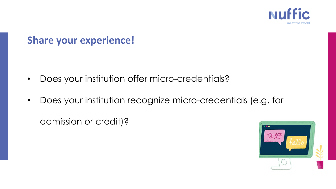

## **Share your experience!**

- Does your institution offer micro-credentials?
- Does your institution recognize micro-credentials (e.g. for

admission or credit)?

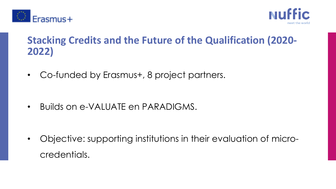



## **Stacking Credits and the Future of the Qualification (2020- 2022)**

• Co-funded by Erasmus+, 8 project partners.

• Builds on e-VALUATE en PARADIGMS.

• Objective: supporting institutions in their evaluation of microcredentials.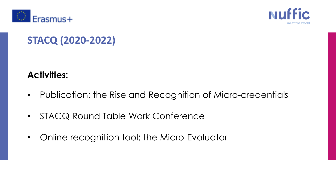



# **STACQ (2020-2022)**

#### **Activities:**

- Publication: the Rise and Recognition of Micro-credentials
- STACQ Round Table Work Conference
- Online recognition tool: the Micro-Evaluator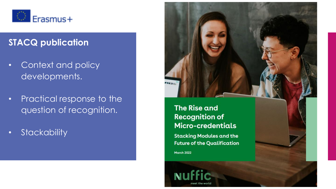

#### **STACQ publication**

- Context and policy developments.
- Practical response to the question of recognition.
- Stackability



#### The Rise and **Recognition of** Micro-credentials

**Stacking Modules and the Future of the Qualification** 

**March 2022** 

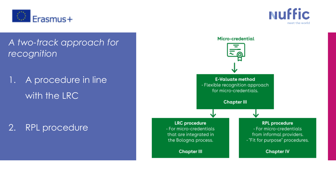



*A two-track approach for recognition*

1. A procedure in line with the LRC

2. RPL procedure

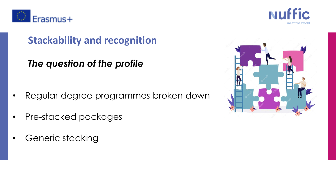



## **Stackability and recognition**

*The question of the profile*

- Regular degree programmes broken down
- Pre-stacked packages
- Generic stacking

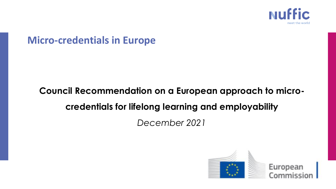

#### **Micro-credentials in Europe**

# **Council Recommendation on a European approach to microcredentials for lifelong learning and employability**

*December 2021*

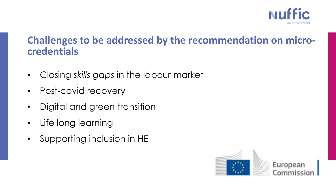

#### **Challenges to be addressed by the recommendation on microcredentials**

- Closing *skills gaps* in the labour market
- Post-covid recovery
- Digital and green transition
- Life long learning
- Supporting inclusion in HE

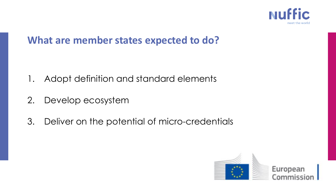

#### **What are member states expected to do?**

- 1. Adopt definition and standard elements
- 2. Develop ecosystem
- 3. Deliver on the potential of micro-credentials

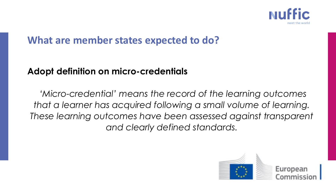

#### **What are member states expected to do?**

#### **Adopt definition on micro-credentials**

*'Micro-credential' means the record of the learning outcomes that a learner has acquired following a small volume of learning. These learning outcomes have been assessed against transparent and clearly defined standards.* 

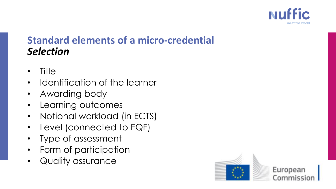

## **Standard elements of a micro-credential** *Selection*

- Title
- Identification of the learner
- Awarding body
- Learning outcomes
- Notional workload (in ECTS)
- Level (connected to EQF)
- Type of assessment
- Form of participation
- Quality assurance

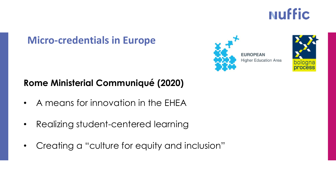# **NUffic**

#### **Micro-credentials in Europe**

#### **Rome Ministerial Communiqué (2020)**

- A means for innovation in the EHEA
- Realizing student-centered learning
- Creating a "culture for equity and inclusion"



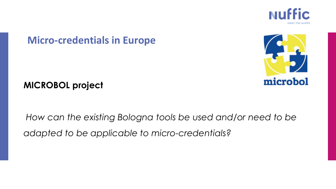

#### **Micro-credentials in Europe**



#### **MICROBOL project**

*How can the existing Bologna tools be used and/or need to be adapted to be applicable to micro-credentials?*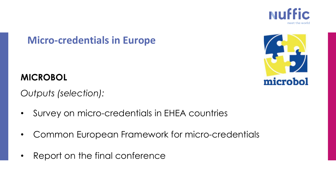

#### **Micro-credentials in Europe**

#### **MICROBOL**

*Outputs (selection):*

- Survey on micro-credentials in EHEA countries
- Common European Framework for micro-credentials
- Report on the final conference

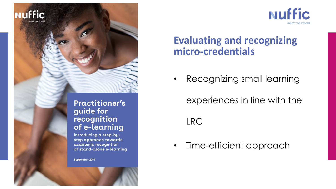



## **Evaluating and recognizing micro-credentials**

• Recognizing small learning

experiences in line with the LRC

• Time-efficient approach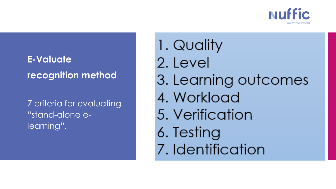

# **E-Valuate recognition method**

7 criteria for evaluating "stand-alone elearning".

1. Quality 2. Level 3. Learning outcomes 4. Workload 5. Verification 6. Testing 7. Identification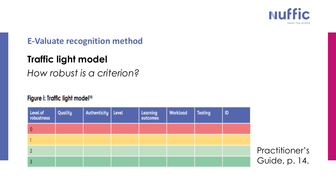

#### **E-Valuate recognition method**

#### **Traffic light model**

*How robust is a criterion?* 

#### Figure i: Traffic light model<sup>10</sup>

| Level of<br>robustness | Quality | Authenticity   Level | Learning<br>outcomes | <b>Workload</b> | Testing | ID |
|------------------------|---------|----------------------|----------------------|-----------------|---------|----|
| 0                      |         |                      |                      |                 |         |    |
|                        |         |                      |                      |                 |         |    |
|                        |         |                      |                      |                 |         |    |
|                        |         |                      |                      |                 |         |    |

Practitioner's Guide, p. 14.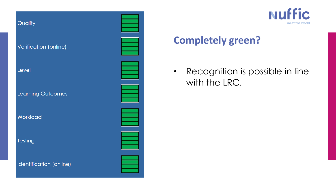



# **Completely green?**

• Recognition is possible in line with the LRC.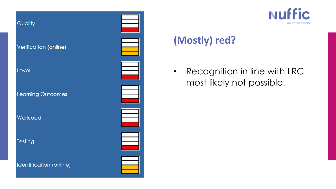



# **(Mostly) red?**

• Recognition in line with LRC most likely not possible.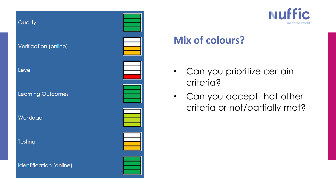



## **Mix of colours?**

- Can you prioritize certain criteria?
- Can you accept that other criteria or not/partially met?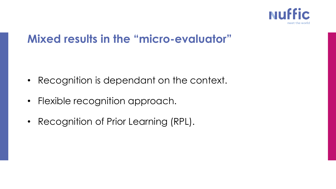

# **Mixed results in the "micro-evaluator"**

- Recognition is dependant on the context.
- Flexible recognition approach.
- Recognition of Prior Learning (RPL).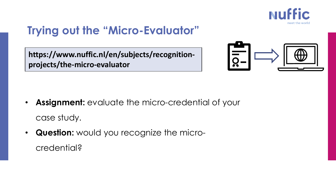

# **Trying out the "Micro-Evaluator"**

**https://www.nuffic.nl/en/subjects/recognitionprojects/the-micro-evaluator**



- **Assignment:** evaluate the micro-credential of your case study.
- **Question:** would you recognize the microcredential?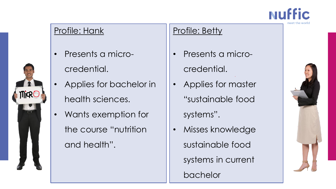

#### Profile: Hank

**MiRC** 

- Presents a microcredential.
- Applies for bachelor in health sciences.
- Wants exemption for the course "nutrition and health".

#### Profile: Betty

- Presents a microcredential.
- Applies for master "sustainable food systems".
- Misses knowledge sustainable food systems in current bachelor

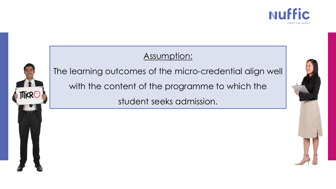

#### Assumption:



The learning outcomes of the micro-credential align well with the content of the programme to which the

student seeks admission.

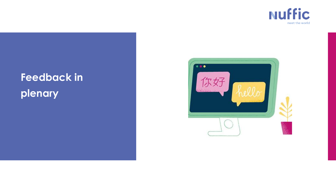

# **Feedback in plenary**

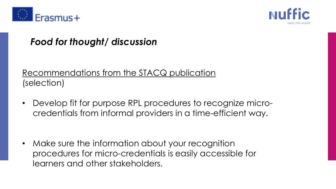



#### *Food for thought/ discussion*

#### Recommendations from the STACQ publication (selection)

• Develop fit for purpose RPL procedures to recognize microcredentials from informal providers in a time-efficient way.

• Make sure the information about your recognition procedures for micro-credentials is easily accessible for learners and other stakeholders.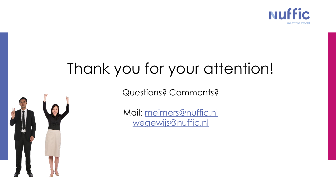

# Thank you for your attention!

Questions? Comments?



Mail: [meimers@nuffic.nl](mailto:meimers@nuffic.nl) [wegewijs@nuffic.nl](mailto:wegewijs@nuffic.nl)